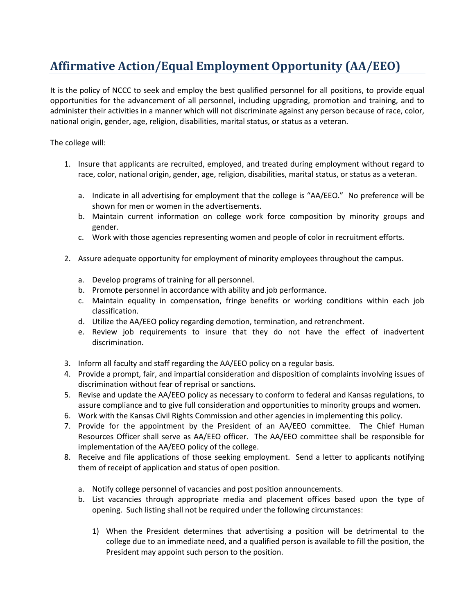## **Affirmative Action/Equal Employment Opportunity (AA/EEO)**

It is the policy of NCCC to seek and employ the best qualified personnel for all positions, to provide equal opportunities for the advancement of all personnel, including upgrading, promotion and training, and to administer their activities in a manner which will not discriminate against any person because of race, color, national origin, gender, age, religion, disabilities, marital status, or status as a veteran.

The college will:

- 1. Insure that applicants are recruited, employed, and treated during employment without regard to race, color, national origin, gender, age, religion, disabilities, marital status, or status as a veteran.
	- a. Indicate in all advertising for employment that the college is "AA/EEO." No preference will be shown for men or women in the advertisements.
	- b. Maintain current information on college work force composition by minority groups and gender.
	- c. Work with those agencies representing women and people of color in recruitment efforts.
- 2. Assure adequate opportunity for employment of minority employees throughout the campus.
	- a. Develop programs of training for all personnel.
	- b. Promote personnel in accordance with ability and job performance.
	- c. Maintain equality in compensation, fringe benefits or working conditions within each job classification.
	- d. Utilize the AA/EEO policy regarding demotion, termination, and retrenchment.
	- e. Review job requirements to insure that they do not have the effect of inadvertent discrimination.
- 3. Inform all faculty and staff regarding the AA/EEO policy on a regular basis.
- 4. Provide a prompt, fair, and impartial consideration and disposition of complaints involving issues of discrimination without fear of reprisal or sanctions.
- 5. Revise and update the AA/EEO policy as necessary to conform to federal and Kansas regulations, to assure compliance and to give full consideration and opportunities to minority groups and women.
- 6. Work with the Kansas Civil Rights Commission and other agencies in implementing this policy.
- 7. Provide for the appointment by the President of an AA/EEO committee. The Chief Human Resources Officer shall serve as AA/EEO officer. The AA/EEO committee shall be responsible for implementation of the AA/EEO policy of the college.
- 8. Receive and file applications of those seeking employment. Send a letter to applicants notifying them of receipt of application and status of open position.
	- a. Notify college personnel of vacancies and post position announcements.
	- b. List vacancies through appropriate media and placement offices based upon the type of opening. Such listing shall not be required under the following circumstances:
		- 1) When the President determines that advertising a position will be detrimental to the college due to an immediate need, and a qualified person is available to fill the position, the President may appoint such person to the position.